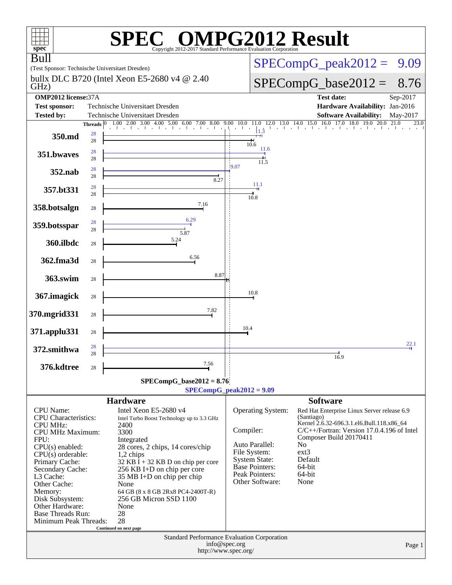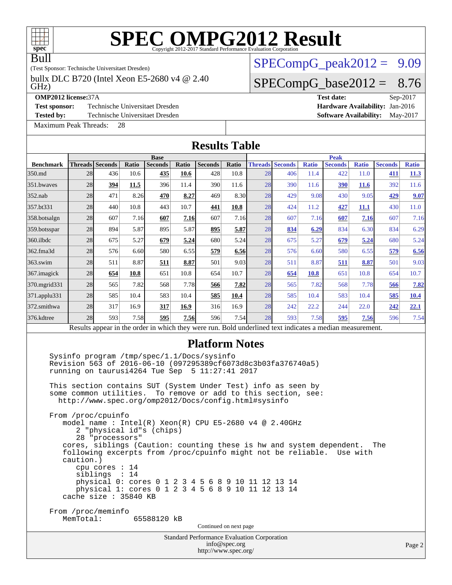# **[SPEC OMPG2012 Result](http://www.spec.org/auto/omp2012/Docs/result-fields.html#SPECOMPG2012Result)**

#### Bull

(Test Sponsor: Technische Universitaet Dresden)

GHz) bullx DLC B720 (Intel Xeon E5-2680 v4 @ 2.40

**[Test sponsor:](http://www.spec.org/auto/omp2012/Docs/result-fields.html#Testsponsor)** Technische Universitaet Dresden **[Hardware Availability:](http://www.spec.org/auto/omp2012/Docs/result-fields.html#HardwareAvailability) Jan-2016** 

[Maximum Peak Threads:](http://www.spec.org/auto/omp2012/Docs/result-fields.html#MaximumPeakThreads) 28

 $SPECompG_peak2012 = 9.09$  $SPECompG_peak2012 = 9.09$ 

### $SPECompG_base2012 = 8.76$  $SPECompG_base2012 = 8.76$

**[OMP2012 license:](http://www.spec.org/auto/omp2012/Docs/result-fields.html#OMP2012license)**37A **[Test date:](http://www.spec.org/auto/omp2012/Docs/result-fields.html#Testdate)** Sep-2017 **[Tested by:](http://www.spec.org/auto/omp2012/Docs/result-fields.html#Testedby)** Technische Universitaet Dresden **[Software Availability:](http://www.spec.org/auto/omp2012/Docs/result-fields.html#SoftwareAvailability)** May-2017

| <b>Results Table</b> |                                                          |                                                      |       |                                                                                                                                                                                                                                                                                              |       |                                                                     |               |    |                                                                                                                                                                                                                                                                                                                            |              |                                                                                                          |              |                |        |
|----------------------|----------------------------------------------------------|------------------------------------------------------|-------|----------------------------------------------------------------------------------------------------------------------------------------------------------------------------------------------------------------------------------------------------------------------------------------------|-------|---------------------------------------------------------------------|---------------|----|----------------------------------------------------------------------------------------------------------------------------------------------------------------------------------------------------------------------------------------------------------------------------------------------------------------------------|--------------|----------------------------------------------------------------------------------------------------------|--------------|----------------|--------|
|                      |                                                          |                                                      |       | <b>Base</b>                                                                                                                                                                                                                                                                                  |       |                                                                     |               |    |                                                                                                                                                                                                                                                                                                                            |              | <b>Peak</b>                                                                                              |              |                |        |
| <b>Benchmark</b>     | Threads Seconds                                          |                                                      | Ratio | <b>Seconds</b>                                                                                                                                                                                                                                                                               | Ratio | <b>Seconds</b>                                                      | Ratio         |    | <b>Threads Seconds</b>                                                                                                                                                                                                                                                                                                     | <b>Ratio</b> | <b>Seconds</b>                                                                                           | <b>Ratio</b> | <b>Seconds</b> | Ratio  |
| 350.md               | 28                                                       | 436                                                  | 10.6  | 435                                                                                                                                                                                                                                                                                          | 10.6  | 428                                                                 | 10.8          | 28 | 406                                                                                                                                                                                                                                                                                                                        | 11.4         | 422                                                                                                      | 11.0         | 411            | 11.3   |
| 351.bwaves           | 28                                                       | 394                                                  | 11.5  | 396                                                                                                                                                                                                                                                                                          | 11.4  | 390                                                                 | 11.6          | 28 | 390                                                                                                                                                                                                                                                                                                                        | 11.6         | 390                                                                                                      | <b>11.6</b>  | 392            | 11.6   |
| 352.nab              | 28                                                       | 471                                                  | 8.26  | 470                                                                                                                                                                                                                                                                                          | 8.27  | 469                                                                 | 8.30          | 28 | 429                                                                                                                                                                                                                                                                                                                        | 9.08         | 430                                                                                                      | 9.05         | 429            | 9.07   |
| 357.bt331            | 28                                                       | 440                                                  | 10.8  | 443                                                                                                                                                                                                                                                                                          | 10.7  | 441                                                                 | 10.8          | 28 | 424                                                                                                                                                                                                                                                                                                                        | 11.2         | 427                                                                                                      | 11.1         | 430            | 11.0   |
| 358.botsalgn         | 28                                                       | 607                                                  | 7.16  | 607                                                                                                                                                                                                                                                                                          | 7.16  | 607                                                                 | 7.16          | 28 | 607                                                                                                                                                                                                                                                                                                                        | 7.16         | 607                                                                                                      | 7.16         | 607            | 7.16   |
| 359.botsspar         | 28                                                       | 894                                                  | 5.87  | 895                                                                                                                                                                                                                                                                                          | 5.87  | 895                                                                 | 5.87          | 28 | 834                                                                                                                                                                                                                                                                                                                        | 6.29         | 834                                                                                                      | 6.30         | 834            | 6.29   |
| 360.ilbdc            | 28                                                       | 675                                                  | 5.27  | 679                                                                                                                                                                                                                                                                                          | 5.24  | 680                                                                 | 5.24          | 28 | 675                                                                                                                                                                                                                                                                                                                        | 5.27         | 679                                                                                                      | 5.24         | 680            | 5.24   |
| 362.fma3d            | 28                                                       | 576                                                  | 6.60  | 580                                                                                                                                                                                                                                                                                          | 6.55  | 579                                                                 | 6.56          | 28 | 576                                                                                                                                                                                                                                                                                                                        | 6.60         | 580                                                                                                      | 6.55         | 579            | 6.56   |
| 363.swim             | 28                                                       | 511                                                  | 8.87  | 511                                                                                                                                                                                                                                                                                          | 8.87  | 501                                                                 | 9.03          | 28 | 511                                                                                                                                                                                                                                                                                                                        | 8.87         | 511                                                                                                      | 8.87         | 501            | 9.03   |
| 367.imagick          | 28                                                       | 654                                                  | 10.8  | 651                                                                                                                                                                                                                                                                                          | 10.8  | 654                                                                 | 10.7          | 28 | 654                                                                                                                                                                                                                                                                                                                        | <b>10.8</b>  | 651                                                                                                      | 10.8         | 654            | 10.7   |
| 370.mgrid331         | 28                                                       | 565                                                  | 7.82  | 568                                                                                                                                                                                                                                                                                          | 7.78  | 566                                                                 | 7.82          | 28 | 565                                                                                                                                                                                                                                                                                                                        | 7.82         | 568                                                                                                      | 7.78         | 566            | 7.82   |
| 371.applu331         | 28                                                       | 585                                                  | 10.4  | 583                                                                                                                                                                                                                                                                                          | 10.4  | 585                                                                 | 10.4          | 28 | 585                                                                                                                                                                                                                                                                                                                        | 10.4         | 583                                                                                                      | 10.4         | 585            | 10.4   |
| 372.smithwa          | 28                                                       | 317                                                  | 16.9  | 317                                                                                                                                                                                                                                                                                          | 16.9  | 316                                                                 | 16.9          | 28 | 242                                                                                                                                                                                                                                                                                                                        | 22.2         | 244                                                                                                      | 22.0         | 242            | 22.1   |
| 376.kdtree           | 28                                                       | 593                                                  | 7.58  | 595                                                                                                                                                                                                                                                                                          | 7.56  | 596                                                                 | 7.54          | 28 | 593                                                                                                                                                                                                                                                                                                                        | 7.58         | 595                                                                                                      | 7.56         | 596            | 7.54   |
|                      |                                                          |                                                      |       |                                                                                                                                                                                                                                                                                              |       |                                                                     |               |    |                                                                                                                                                                                                                                                                                                                            |              | Results appear in the order in which they were run. Bold underlined text indicates a median measurement. |              |                |        |
|                      | From /proc/cpuinfo<br>caution.)<br>cache size : 35840 KB | 28 "processors"<br>cpu cores $: 14$<br>siblings : 14 |       | Sysinfo program /tmp/spec/1.1/Docs/sysinfo<br>running on taurusi4264 Tue Sep 5 11:27:41 2017<br>http://www.spec.org/omp2012/Docs/config.html#sysinfo<br>2 "physical id"s (chips)<br>physical 0: cores 0 1 2 3 4 5 6 8 9 10 11 12 13 14<br>physical 1: cores 0 1 2 3 4 5 6 8 9 10 11 12 13 14 |       |                                                                     |               |    | Revision 563 of 2016-06-10 (097295389cf6073d8c3b03fa376740a5)<br>This section contains SUT (System Under Test) info as seen by<br>some common utilities. To remove or add to this section, see:<br>model name: $Intel(R)$ Xeon(R) CPU E5-2680 v4 @ 2.40GHz<br>following excerpts from /proc/cpuinfo might not be reliable. |              | cores, siblings (Caution: counting these is hw and system dependent.                                     | Use with     | The            |        |
|                      | From /proc/meminfo<br>MemTotal:                          |                                                      |       | 65588120 kB                                                                                                                                                                                                                                                                                  |       | Continued on next page                                              |               |    |                                                                                                                                                                                                                                                                                                                            |              |                                                                                                          |              |                |        |
|                      |                                                          |                                                      |       |                                                                                                                                                                                                                                                                                              |       | Standard Performance Evaluation Corporation<br>http://www.spec.org/ | info@spec.org |    |                                                                                                                                                                                                                                                                                                                            |              |                                                                                                          |              |                | Page 2 |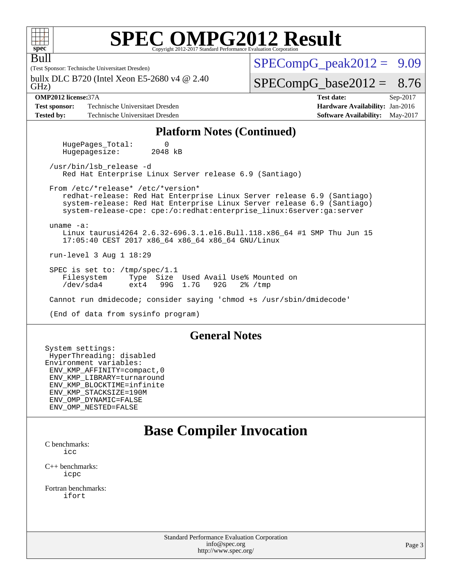| ${\bf S}$<br>U<br>Н<br>e |  |  |  |  |  |  |  |
|--------------------------|--|--|--|--|--|--|--|

Bull

# **[SPEC OMPG2012 Result](http://www.spec.org/auto/omp2012/Docs/result-fields.html#SPECOMPG2012Result)**

(Test Sponsor: Technische Universitaet Dresden)

GHz) bullx DLC B720 (Intel Xeon E5-2680 v4 @ 2.40  $SPECompG<sub>peak2012</sub> = 9.09$ 

#### $SPECompG_base2012 = 8.76$  $SPECompG_base2012 = 8.76$

**[Test sponsor:](http://www.spec.org/auto/omp2012/Docs/result-fields.html#Testsponsor)** Technische Universitaet Dresden **[Hardware Availability:](http://www.spec.org/auto/omp2012/Docs/result-fields.html#HardwareAvailability)** Jan-2016 **[Tested by:](http://www.spec.org/auto/omp2012/Docs/result-fields.html#Testedby)** Technische Universitaet Dresden **[Software Availability:](http://www.spec.org/auto/omp2012/Docs/result-fields.html#SoftwareAvailability)** May-2017

**[OMP2012 license:](http://www.spec.org/auto/omp2012/Docs/result-fields.html#OMP2012license)**37A **[Test date:](http://www.spec.org/auto/omp2012/Docs/result-fields.html#Testdate)** Sep-2017

#### **[Platform Notes \(Continued\)](http://www.spec.org/auto/omp2012/Docs/result-fields.html#PlatformNotes)**

HugePages\_Total: 0<br>Hugepagesize: 2048 kB Hugepagesize:

 /usr/bin/lsb\_release -d Red Hat Enterprise Linux Server release 6.9 (Santiago)

 From /etc/\*release\* /etc/\*version\* redhat-release: Red Hat Enterprise Linux Server release 6.9 (Santiago) system-release: Red Hat Enterprise Linux Server release 6.9 (Santiago) system-release-cpe: cpe:/o:redhat:enterprise\_linux:6server:ga:server

 uname -a: Linux taurusi4264 2.6.32-696.3.1.el6.Bull.118.x86\_64 #1 SMP Thu Jun 15 17:05:40 CEST 2017 x86\_64 x86\_64 x86\_64 GNU/Linux

run-level 3 Aug 1 18:29

 SPEC is set to: /tmp/spec/1.1 Filesystem Type Size Used Avail Use% Mounted on<br>
/dev/sda4 ext4 99G 1.7G 92G 2% /tmp 99G 1.7G

Cannot run dmidecode; consider saying 'chmod +s /usr/sbin/dmidecode'

(End of data from sysinfo program)

#### **[General Notes](http://www.spec.org/auto/omp2012/Docs/result-fields.html#GeneralNotes)**

System settings: HyperThreading: disabled Environment variables: ENV\_KMP\_AFFINITY=compact,0 ENV\_KMP\_LIBRARY=turnaround ENV\_KMP\_BLOCKTIME=infinite ENV\_KMP\_STACKSIZE=190M ENV\_OMP\_DYNAMIC=FALSE ENV\_OMP\_NESTED=FALSE

### **[Base Compiler Invocation](http://www.spec.org/auto/omp2012/Docs/result-fields.html#BaseCompilerInvocation)**

[C benchmarks](http://www.spec.org/auto/omp2012/Docs/result-fields.html#Cbenchmarks): [icc](http://www.spec.org/omp2012/results/res2017q4/omp2012-20171023-00134.flags.html#user_CCbase_intel_cc_a87c68a857bc5ec5362391a49d3a37a6)

[C++ benchmarks:](http://www.spec.org/auto/omp2012/Docs/result-fields.html#CXXbenchmarks) [icpc](http://www.spec.org/omp2012/results/res2017q4/omp2012-20171023-00134.flags.html#user_CXXbase_intel_CC_2d899f8d163502b12eb4a60069f80c1c)

[Fortran benchmarks](http://www.spec.org/auto/omp2012/Docs/result-fields.html#Fortranbenchmarks): [ifort](http://www.spec.org/omp2012/results/res2017q4/omp2012-20171023-00134.flags.html#user_FCbase_intel_f90_8a5e5e06b19a251bdeaf8fdab5d62f20)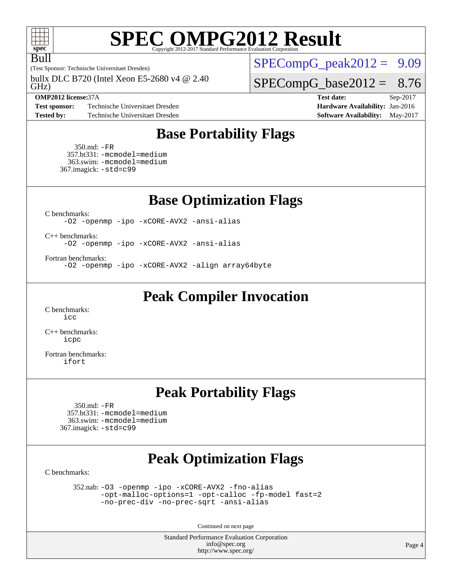

## **[SPEC OMPG2012 Result](http://www.spec.org/auto/omp2012/Docs/result-fields.html#SPECOMPG2012Result)**

(Test Sponsor: Technische Universitaet Dresden) Bull

GHz) bullx DLC B720 (Intel Xeon E5-2680 v4 @ 2.40

**[Test sponsor:](http://www.spec.org/auto/omp2012/Docs/result-fields.html#Testsponsor)** Technische Universitaet Dresden **[Hardware Availability:](http://www.spec.org/auto/omp2012/Docs/result-fields.html#HardwareAvailability) Jan-2016 [Tested by:](http://www.spec.org/auto/omp2012/Docs/result-fields.html#Testedby)** Technische Universitaet Dresden **[Software Availability:](http://www.spec.org/auto/omp2012/Docs/result-fields.html#SoftwareAvailability)** May-2017

 $SPECompG_peak2012 = 9.09$  $SPECompG_peak2012 = 9.09$ 

 $SPECompG_base2012 = 8.76$  $SPECompG_base2012 = 8.76$ 

**[OMP2012 license:](http://www.spec.org/auto/omp2012/Docs/result-fields.html#OMP2012license)**37A **[Test date:](http://www.spec.org/auto/omp2012/Docs/result-fields.html#Testdate)** Sep-2017

#### **[Base Portability Flags](http://www.spec.org/auto/omp2012/Docs/result-fields.html#BasePortabilityFlags)**

 350.md: [-FR](http://www.spec.org/omp2012/results/res2017q4/omp2012-20171023-00134.flags.html#user_baseFPORTABILITY350_md_port_fr_826f1f71b114efdd895e50dc86c480ee) 357.bt331: [-mcmodel=medium](http://www.spec.org/omp2012/results/res2017q4/omp2012-20171023-00134.flags.html#user_basePORTABILITY357_bt331_mcmodel_3a41622424bdd074c4f0f2d2f224c7e5) 363.swim: [-mcmodel=medium](http://www.spec.org/omp2012/results/res2017q4/omp2012-20171023-00134.flags.html#user_basePORTABILITY363_swim_mcmodel_3a41622424bdd074c4f0f2d2f224c7e5) 367.imagick: [-std=c99](http://www.spec.org/omp2012/results/res2017q4/omp2012-20171023-00134.flags.html#user_baseCPORTABILITY367_imagick_port_std_2ec6533b6e06f1c4a6c9b78d9e9cde24)

**[Base Optimization Flags](http://www.spec.org/auto/omp2012/Docs/result-fields.html#BaseOptimizationFlags)**

[C benchmarks](http://www.spec.org/auto/omp2012/Docs/result-fields.html#Cbenchmarks):

[-O2](http://www.spec.org/omp2012/results/res2017q4/omp2012-20171023-00134.flags.html#user_CCbase_O_b5fb2f64a2668606ede8f74eb708e30b) [-openmp](http://www.spec.org/omp2012/results/res2017q4/omp2012-20171023-00134.flags.html#user_CCbase_F-openmp) [-ipo](http://www.spec.org/omp2012/results/res2017q4/omp2012-20171023-00134.flags.html#user_CCbase_ipo) [-xCORE-AVX2](http://www.spec.org/omp2012/results/res2017q4/omp2012-20171023-00134.flags.html#user_CCbase_xCORE-AVX2) [-ansi-alias](http://www.spec.org/omp2012/results/res2017q4/omp2012-20171023-00134.flags.html#user_CCbase_ansi-alias)

[C++ benchmarks:](http://www.spec.org/auto/omp2012/Docs/result-fields.html#CXXbenchmarks)

[-O2](http://www.spec.org/omp2012/results/res2017q4/omp2012-20171023-00134.flags.html#user_CXXbase_O_b5fb2f64a2668606ede8f74eb708e30b) [-openmp](http://www.spec.org/omp2012/results/res2017q4/omp2012-20171023-00134.flags.html#user_CXXbase_F-openmp) [-ipo](http://www.spec.org/omp2012/results/res2017q4/omp2012-20171023-00134.flags.html#user_CXXbase_ipo) [-xCORE-AVX2](http://www.spec.org/omp2012/results/res2017q4/omp2012-20171023-00134.flags.html#user_CXXbase_xCORE-AVX2) [-ansi-alias](http://www.spec.org/omp2012/results/res2017q4/omp2012-20171023-00134.flags.html#user_CXXbase_ansi-alias)

[Fortran benchmarks](http://www.spec.org/auto/omp2012/Docs/result-fields.html#Fortranbenchmarks):

[-O2](http://www.spec.org/omp2012/results/res2017q4/omp2012-20171023-00134.flags.html#user_FCbase_O_b5fb2f64a2668606ede8f74eb708e30b) [-openmp](http://www.spec.org/omp2012/results/res2017q4/omp2012-20171023-00134.flags.html#user_FCbase_F-openmp) [-ipo](http://www.spec.org/omp2012/results/res2017q4/omp2012-20171023-00134.flags.html#user_FCbase_ipo) [-xCORE-AVX2](http://www.spec.org/omp2012/results/res2017q4/omp2012-20171023-00134.flags.html#user_FCbase_xCORE-AVX2) [-align array64byte](http://www.spec.org/omp2012/results/res2017q4/omp2012-20171023-00134.flags.html#user_FCbase_align-array64byte_c9377f996e966d652baaf753401d4725)

**[Peak Compiler Invocation](http://www.spec.org/auto/omp2012/Docs/result-fields.html#PeakCompilerInvocation)**

[C benchmarks](http://www.spec.org/auto/omp2012/Docs/result-fields.html#Cbenchmarks): [icc](http://www.spec.org/omp2012/results/res2017q4/omp2012-20171023-00134.flags.html#user_CCpeak_intel_cc_a87c68a857bc5ec5362391a49d3a37a6)

[C++ benchmarks:](http://www.spec.org/auto/omp2012/Docs/result-fields.html#CXXbenchmarks) [icpc](http://www.spec.org/omp2012/results/res2017q4/omp2012-20171023-00134.flags.html#user_CXXpeak_intel_CC_2d899f8d163502b12eb4a60069f80c1c)

[Fortran benchmarks](http://www.spec.org/auto/omp2012/Docs/result-fields.html#Fortranbenchmarks): [ifort](http://www.spec.org/omp2012/results/res2017q4/omp2012-20171023-00134.flags.html#user_FCpeak_intel_f90_8a5e5e06b19a251bdeaf8fdab5d62f20)

#### **[Peak Portability Flags](http://www.spec.org/auto/omp2012/Docs/result-fields.html#PeakPortabilityFlags)**

 350.md: [-FR](http://www.spec.org/omp2012/results/res2017q4/omp2012-20171023-00134.flags.html#user_peakFPORTABILITY350_md_port_fr_826f1f71b114efdd895e50dc86c480ee) 357.bt331: [-mcmodel=medium](http://www.spec.org/omp2012/results/res2017q4/omp2012-20171023-00134.flags.html#user_peakPORTABILITY357_bt331_mcmodel_3a41622424bdd074c4f0f2d2f224c7e5) 363.swim: [-mcmodel=medium](http://www.spec.org/omp2012/results/res2017q4/omp2012-20171023-00134.flags.html#user_peakPORTABILITY363_swim_mcmodel_3a41622424bdd074c4f0f2d2f224c7e5) 367.imagick: [-std=c99](http://www.spec.org/omp2012/results/res2017q4/omp2012-20171023-00134.flags.html#user_peakCPORTABILITY367_imagick_port_std_2ec6533b6e06f1c4a6c9b78d9e9cde24)

## **[Peak Optimization Flags](http://www.spec.org/auto/omp2012/Docs/result-fields.html#PeakOptimizationFlags)**

[C benchmarks](http://www.spec.org/auto/omp2012/Docs/result-fields.html#Cbenchmarks):

 352.nab: [-O3](http://www.spec.org/omp2012/results/res2017q4/omp2012-20171023-00134.flags.html#user_peakOPTIMIZE352_nab_O_1ec1effec8bc51870b35e140487c521e) [-openmp](http://www.spec.org/omp2012/results/res2017q4/omp2012-20171023-00134.flags.html#user_peakOPTIMIZE352_nab_F-openmp) [-ipo](http://www.spec.org/omp2012/results/res2017q4/omp2012-20171023-00134.flags.html#user_peakOPTIMIZE352_nab_ipo) [-xCORE-AVX2](http://www.spec.org/omp2012/results/res2017q4/omp2012-20171023-00134.flags.html#user_peakOPTIMIZE352_nab_xCORE-AVX2) [-fno-alias](http://www.spec.org/omp2012/results/res2017q4/omp2012-20171023-00134.flags.html#user_peakOPTIMIZE352_nab_f-no-alias_694e77f6c5a51e658e82ccff53a9e63a) [-opt-malloc-options=1](http://www.spec.org/omp2012/results/res2017q4/omp2012-20171023-00134.flags.html#user_peakOPTIMIZE352_nab_f-opt-malloc-options_d882ffc6ff87e51efe45f9a5190004b0) [-opt-calloc](http://www.spec.org/omp2012/results/res2017q4/omp2012-20171023-00134.flags.html#user_peakOPTIMIZE352_nab_f-opt-calloc) [-fp-model fast=2](http://www.spec.org/omp2012/results/res2017q4/omp2012-20171023-00134.flags.html#user_peakOPTIMIZE352_nab_f-fp-model_a7fb8ccb7275e23f0079632c153cfcab) [-no-prec-div](http://www.spec.org/omp2012/results/res2017q4/omp2012-20171023-00134.flags.html#user_peakOPTIMIZE352_nab_no-prec-div) [-no-prec-sqrt](http://www.spec.org/omp2012/results/res2017q4/omp2012-20171023-00134.flags.html#user_peakOPTIMIZE352_nab_no-prec-sqrt) [-ansi-alias](http://www.spec.org/omp2012/results/res2017q4/omp2012-20171023-00134.flags.html#user_peakCOPTIMIZE352_nab_ansi-alias)

Continued on next page

Standard Performance Evaluation Corporation [info@spec.org](mailto:info@spec.org) <http://www.spec.org/>

Page 4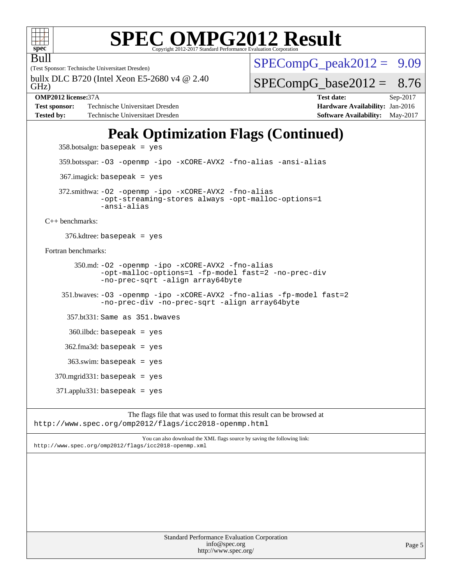

Bull

# **[SPEC OMPG2012 Result](http://www.spec.org/auto/omp2012/Docs/result-fields.html#SPECOMPG2012Result)**

(Test Sponsor: Technische Universitaet Dresden)

GHz) bullx DLC B720 (Intel Xeon E5-2680 v4 @ 2.40

**[Test sponsor:](http://www.spec.org/auto/omp2012/Docs/result-fields.html#Testsponsor)** Technische Universitaet Dresden **[Hardware Availability:](http://www.spec.org/auto/omp2012/Docs/result-fields.html#HardwareAvailability) Jan-2016 [Tested by:](http://www.spec.org/auto/omp2012/Docs/result-fields.html#Testedby)** Technische Universitaet Dresden **[Software Availability:](http://www.spec.org/auto/omp2012/Docs/result-fields.html#SoftwareAvailability)** May-2017

 $SPECompG_peak2012 = 9.09$  $SPECompG_peak2012 = 9.09$ 

 $SPECompG_base2012 = 8.76$  $SPECompG_base2012 = 8.76$ 

**[OMP2012 license:](http://www.spec.org/auto/omp2012/Docs/result-fields.html#OMP2012license)**37A **[Test date:](http://www.spec.org/auto/omp2012/Docs/result-fields.html#Testdate)** Sep-2017

## **[Peak Optimization Flags \(Continued\)](http://www.spec.org/auto/omp2012/Docs/result-fields.html#PeakOptimizationFlags)**

 $358.$ botsalgn: basepeak = yes

359.botsspar: [-O3](http://www.spec.org/omp2012/results/res2017q4/omp2012-20171023-00134.flags.html#user_peakOPTIMIZE359_botsspar_O_1ec1effec8bc51870b35e140487c521e) [-openmp](http://www.spec.org/omp2012/results/res2017q4/omp2012-20171023-00134.flags.html#user_peakOPTIMIZE359_botsspar_F-openmp) [-ipo](http://www.spec.org/omp2012/results/res2017q4/omp2012-20171023-00134.flags.html#user_peakOPTIMIZE359_botsspar_ipo) [-xCORE-AVX2](http://www.spec.org/omp2012/results/res2017q4/omp2012-20171023-00134.flags.html#user_peakOPTIMIZE359_botsspar_xCORE-AVX2) [-fno-alias](http://www.spec.org/omp2012/results/res2017q4/omp2012-20171023-00134.flags.html#user_peakOPTIMIZE359_botsspar_f-no-alias_694e77f6c5a51e658e82ccff53a9e63a) [-ansi-alias](http://www.spec.org/omp2012/results/res2017q4/omp2012-20171023-00134.flags.html#user_peakCOPTIMIZE359_botsspar_ansi-alias)

367.imagick: basepeak = yes

 372.smithwa: [-O2](http://www.spec.org/omp2012/results/res2017q4/omp2012-20171023-00134.flags.html#user_peakOPTIMIZE372_smithwa_O_b5fb2f64a2668606ede8f74eb708e30b) [-openmp](http://www.spec.org/omp2012/results/res2017q4/omp2012-20171023-00134.flags.html#user_peakOPTIMIZE372_smithwa_F-openmp) [-ipo](http://www.spec.org/omp2012/results/res2017q4/omp2012-20171023-00134.flags.html#user_peakOPTIMIZE372_smithwa_ipo) [-xCORE-AVX2](http://www.spec.org/omp2012/results/res2017q4/omp2012-20171023-00134.flags.html#user_peakOPTIMIZE372_smithwa_xCORE-AVX2) [-fno-alias](http://www.spec.org/omp2012/results/res2017q4/omp2012-20171023-00134.flags.html#user_peakOPTIMIZE372_smithwa_f-no-alias_694e77f6c5a51e658e82ccff53a9e63a) [-opt-streaming-stores always](http://www.spec.org/omp2012/results/res2017q4/omp2012-20171023-00134.flags.html#user_peakOPTIMIZE372_smithwa_f-opt-streaming-stores-always_66f55dbc532842151ebc4c82f4f5b019) [-opt-malloc-options=1](http://www.spec.org/omp2012/results/res2017q4/omp2012-20171023-00134.flags.html#user_peakOPTIMIZE372_smithwa_f-opt-malloc-options_d882ffc6ff87e51efe45f9a5190004b0) [-ansi-alias](http://www.spec.org/omp2012/results/res2017q4/omp2012-20171023-00134.flags.html#user_peakCOPTIMIZE372_smithwa_ansi-alias)

[C++ benchmarks:](http://www.spec.org/auto/omp2012/Docs/result-fields.html#CXXbenchmarks)

376.kdtree: basepeak = yes

[Fortran benchmarks](http://www.spec.org/auto/omp2012/Docs/result-fields.html#Fortranbenchmarks):

 350.md: [-O2](http://www.spec.org/omp2012/results/res2017q4/omp2012-20171023-00134.flags.html#user_peakOPTIMIZE350_md_O_b5fb2f64a2668606ede8f74eb708e30b) [-openmp](http://www.spec.org/omp2012/results/res2017q4/omp2012-20171023-00134.flags.html#user_peakOPTIMIZE350_md_F-openmp) [-ipo](http://www.spec.org/omp2012/results/res2017q4/omp2012-20171023-00134.flags.html#user_peakOPTIMIZE350_md_ipo) [-xCORE-AVX2](http://www.spec.org/omp2012/results/res2017q4/omp2012-20171023-00134.flags.html#user_peakOPTIMIZE350_md_xCORE-AVX2) [-fno-alias](http://www.spec.org/omp2012/results/res2017q4/omp2012-20171023-00134.flags.html#user_peakOPTIMIZE350_md_f-no-alias_694e77f6c5a51e658e82ccff53a9e63a) [-opt-malloc-options=1](http://www.spec.org/omp2012/results/res2017q4/omp2012-20171023-00134.flags.html#user_peakOPTIMIZE350_md_f-opt-malloc-options_d882ffc6ff87e51efe45f9a5190004b0) [-fp-model fast=2](http://www.spec.org/omp2012/results/res2017q4/omp2012-20171023-00134.flags.html#user_peakFOPTIMIZE350_md_f-fp-model_a7fb8ccb7275e23f0079632c153cfcab) [-no-prec-div](http://www.spec.org/omp2012/results/res2017q4/omp2012-20171023-00134.flags.html#user_peakFOPTIMIZE350_md_no-prec-div) [-no-prec-sqrt](http://www.spec.org/omp2012/results/res2017q4/omp2012-20171023-00134.flags.html#user_peakFOPTIMIZE350_md_no-prec-sqrt) [-align array64byte](http://www.spec.org/omp2012/results/res2017q4/omp2012-20171023-00134.flags.html#user_peakFOPTIMIZE350_md_align-array64byte_c9377f996e966d652baaf753401d4725)

 351.bwaves: [-O3](http://www.spec.org/omp2012/results/res2017q4/omp2012-20171023-00134.flags.html#user_peakOPTIMIZE351_bwaves_O_1ec1effec8bc51870b35e140487c521e) [-openmp](http://www.spec.org/omp2012/results/res2017q4/omp2012-20171023-00134.flags.html#user_peakOPTIMIZE351_bwaves_F-openmp) [-ipo](http://www.spec.org/omp2012/results/res2017q4/omp2012-20171023-00134.flags.html#user_peakOPTIMIZE351_bwaves_ipo) [-xCORE-AVX2](http://www.spec.org/omp2012/results/res2017q4/omp2012-20171023-00134.flags.html#user_peakOPTIMIZE351_bwaves_xCORE-AVX2) [-fno-alias](http://www.spec.org/omp2012/results/res2017q4/omp2012-20171023-00134.flags.html#user_peakOPTIMIZE351_bwaves_f-no-alias_694e77f6c5a51e658e82ccff53a9e63a) [-fp-model fast=2](http://www.spec.org/omp2012/results/res2017q4/omp2012-20171023-00134.flags.html#user_peakFOPTIMIZE351_bwaves_f-fp-model_a7fb8ccb7275e23f0079632c153cfcab) [-no-prec-div](http://www.spec.org/omp2012/results/res2017q4/omp2012-20171023-00134.flags.html#user_peakFOPTIMIZE351_bwaves_no-prec-div) [-no-prec-sqrt](http://www.spec.org/omp2012/results/res2017q4/omp2012-20171023-00134.flags.html#user_peakFOPTIMIZE351_bwaves_no-prec-sqrt) [-align array64byte](http://www.spec.org/omp2012/results/res2017q4/omp2012-20171023-00134.flags.html#user_peakFOPTIMIZE351_bwaves_align-array64byte_c9377f996e966d652baaf753401d4725)

357.bt331: Same as 351.bwaves

360.ilbdc: basepeak = yes

 $362$ .fma3d: basepeak = yes

363.swim: basepeak = yes

370.mgrid331: basepeak = yes

 $371$ .applu $331$ : basepeak = yes

The flags file that was used to format this result can be browsed at <http://www.spec.org/omp2012/flags/icc2018-openmp.html>

You can also download the XML flags source by saving the following link: <http://www.spec.org/omp2012/flags/icc2018-openmp.xml>

> Standard Performance Evaluation Corporation [info@spec.org](mailto:info@spec.org) <http://www.spec.org/>